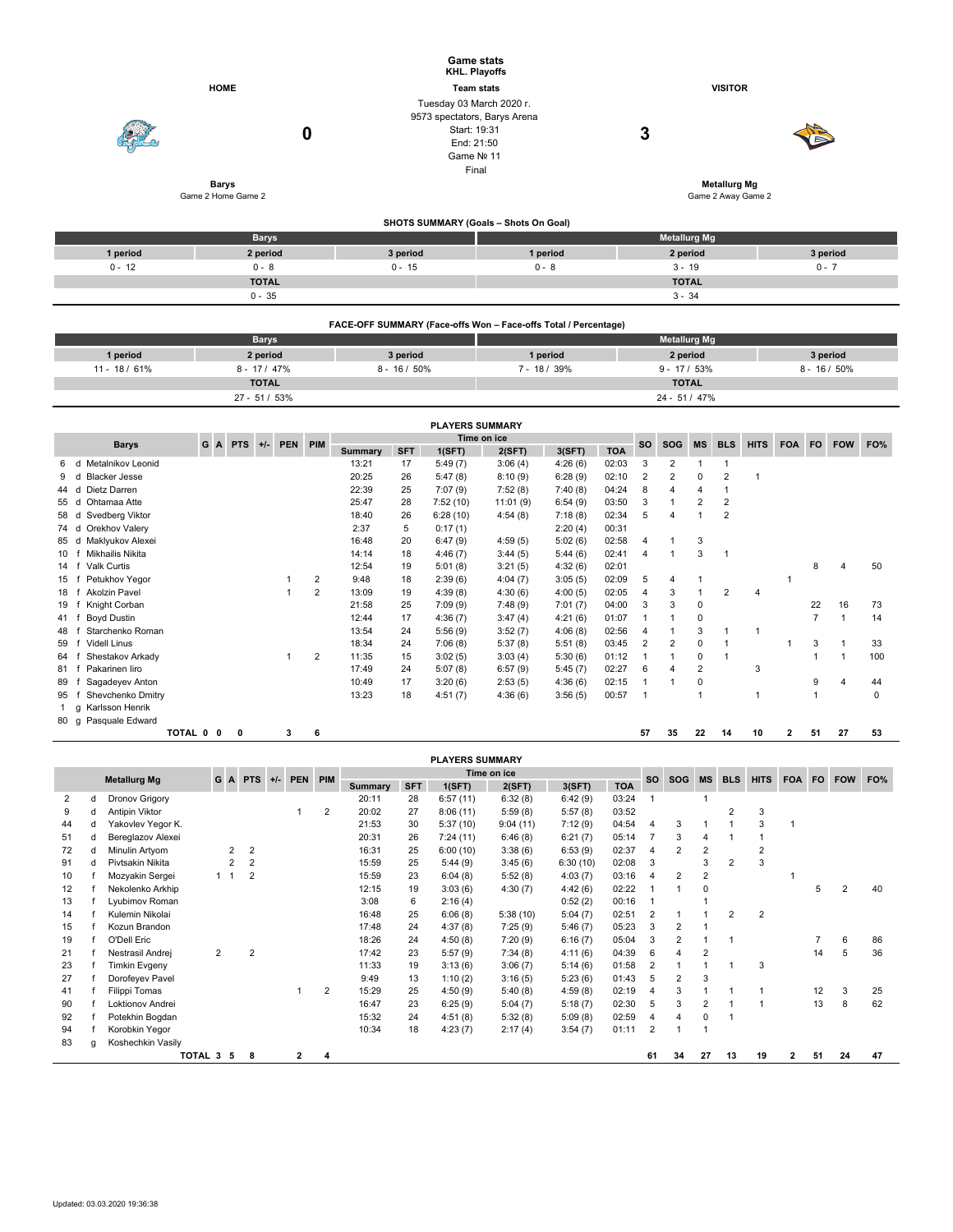|          |                                    | <b>Game stats</b><br>KHL. Playoffs                                                                            |                                           |                     |          |  |  |  |  |  |
|----------|------------------------------------|---------------------------------------------------------------------------------------------------------------|-------------------------------------------|---------------------|----------|--|--|--|--|--|
|          | <b>HOME</b>                        | <b>Team stats</b>                                                                                             |                                           | <b>VISITOR</b>      |          |  |  |  |  |  |
|          | 0                                  | Tuesday 03 March 2020 r.<br>9573 spectators, Barys Arena<br>Start: 19:31<br>End: 21:50<br>Game Nº 11<br>Final |                                           | 3                   |          |  |  |  |  |  |
|          | <b>Barys</b><br>Game 2 Home Game 2 |                                                                                                               | <b>Metallurg Mg</b><br>Game 2 Away Game 2 |                     |          |  |  |  |  |  |
|          |                                    | SHOTS SUMMARY (Goals - Shots On Goal)                                                                         |                                           |                     |          |  |  |  |  |  |
|          | <b>Barys</b>                       |                                                                                                               |                                           | <b>Metallurg Mg</b> |          |  |  |  |  |  |
| 1 period | 2 period                           | 3 period                                                                                                      | 1 period                                  | 2 period            | 3 period |  |  |  |  |  |
| $0 - 12$ | $0 - 8$                            | $0 - 15$                                                                                                      | $0 - 8$                                   | $0 - 7$<br>$3 - 19$ |          |  |  |  |  |  |
|          | <b>TOTAL</b>                       |                                                                                                               |                                           | <b>TOTAL</b>        |          |  |  |  |  |  |
|          | $0 - 35$                           |                                                                                                               |                                           | $3 - 34$            |          |  |  |  |  |  |

| FACE-OFF SUMMARY (Face-offs Won - Face-offs Total / Percentage) |               |                 |                     |                |                 |  |  |  |  |  |  |  |  |
|-----------------------------------------------------------------|---------------|-----------------|---------------------|----------------|-----------------|--|--|--|--|--|--|--|--|
|                                                                 | <b>Barys</b>  |                 | <b>Metallurg Mg</b> |                |                 |  |  |  |  |  |  |  |  |
| 1 period                                                        | 2 period      | 3 period        | 1 period            | 2 period       | 3 period        |  |  |  |  |  |  |  |  |
| $11 - 18/61\%$                                                  | $8 - 17/47\%$ | $8 - 16 / 50\%$ | $7 - 18/39%$        | $9 - 17 / 53%$ | $8 - 16 / 50\%$ |  |  |  |  |  |  |  |  |
|                                                                 | <b>TOTAL</b>  |                 | <b>TOTAL</b>        |                |                 |  |  |  |  |  |  |  |  |
|                                                                 | $27 - 51/53%$ |                 |                     | 24 - 51 / 47%  |                 |  |  |  |  |  |  |  |  |

|        | <b>PLAYERS SUMMARY</b>    |                                               |  |   |  |   |                |                |            |            |             |         |            |                |                |                |    |    |   |                |    |     |
|--------|---------------------------|-----------------------------------------------|--|---|--|---|----------------|----------------|------------|------------|-------------|---------|------------|----------------|----------------|----------------|----|----|---|----------------|----|-----|
|        | <b>Barys</b>              | Time on ice<br>G<br>PIM<br>A PTS<br>$+/-$ PEN |  |   |  |   | <b>SO</b>      | <b>SOG</b>     | MS         | <b>BLS</b> | <b>HITS</b> | FOA FO  |            | <b>FOW</b>     | FO%            |                |    |    |   |                |    |     |
|        |                           |                                               |  |   |  |   |                | <b>Summary</b> | <b>SFT</b> | 1(SFT)     | 2(SFT)      | 3(SFT)  | <b>TOA</b> |                |                |                |    |    |   |                |    |     |
| 6      | Metalnikov Leonid<br>d    |                                               |  |   |  |   |                | 13:21          | 17         | 5:49(7)    | 3:06(4)     | 4:26(6) | 02:03      | 3              | $\overline{2}$ |                |    |    |   |                |    |     |
|        | <b>Blacker Jesse</b><br>d |                                               |  |   |  |   |                | 20:25          | 26         | 5:47(8)    | 8:10(9)     | 6:28(9) | 02:10      | $\overline{2}$ | $\overline{2}$ | 0              | 2  |    |   |                |    |     |
| 44     | Dietz Darren<br>d         |                                               |  |   |  |   |                | 22:39          | 25         | 7:07(9)    | 7:52(8)     | 7:40(8) | 04:24      | 8              | 4              | 4              |    |    |   |                |    |     |
| 55     | Ohtamaa Atte<br>d         |                                               |  |   |  |   |                | 25:47          | 28         | 7:52(10)   | 11:01(9)    | 6:54(9) | 03:50      | 3              |                | $\overline{2}$ | 2  |    |   |                |    |     |
| 58 d   | Svedberg Viktor           |                                               |  |   |  |   |                | 18:40          | 26         | 6:28(10)   | 4:54(8)     | 7:18(8) | 02:34      | 5              |                |                | 2  |    |   |                |    |     |
| 74 d   | Orekhov Valery            |                                               |  |   |  |   |                | 2:37           | 5          | 0:17(1)    |             | 2:20(4) | 00:31      |                |                |                |    |    |   |                |    |     |
| 85     | Maklyukov Alexei<br>d     |                                               |  |   |  |   |                | 16:48          | 20         | 6:47(9)    | 4:59(5)     | 5:02(6) | 02:58      | 4              |                | 3              |    |    |   |                |    |     |
| 10     | Mikhailis Nikita          |                                               |  |   |  |   |                | 14:14          | 18         | 4:46(7)    | 3:44(5)     | 5:44(6) | 02:41      | 4              |                | 3              |    |    |   |                |    |     |
| 14     | Valk Curtis               |                                               |  |   |  |   |                | 12:54          | 19         | 5:01(8)    | 3:21(5)     | 4:32(6) | 02:01      |                |                |                |    |    |   | 8              |    | 50  |
| 15     | Petukhov Yegor            |                                               |  |   |  |   | $\overline{2}$ | 9:48           | 18         | 2:39(6)    | 4:04(7)     | 3:05(5) | 02:09      | 5              | 4              |                |    |    |   |                |    |     |
| 18     | Akolzin Pavel             |                                               |  |   |  |   | $\overline{2}$ | 13:09          | 19         | 4:39(8)    | 4:30(6)     | 4:00(5) | 02:05      | 4              | 3              |                | 2  | 4  |   |                |    |     |
| 19     | Knight Corban             |                                               |  |   |  |   |                | 21:58          | 25         | 7:09(9)    | 7:48(9)     | 7:01(7) | 04:00      | 3              | 3              | $\mathbf 0$    |    |    |   | 22             | 16 | 73  |
| 41     | Boyd Dustin               |                                               |  |   |  |   |                | 12:44          | 17         | 4:36(7)    | 3:47(4)     | 4:21(6) | 01:07      |                |                | $\mathbf 0$    |    |    |   | $\overline{7}$ |    | 14  |
| 48     | Starchenko Roman          |                                               |  |   |  |   |                | 13:54          | 24         | 5:56(9)    | 3:52(7)     | 4:06(8) | 02:56      | 4              |                | 3              |    | 1  |   |                |    |     |
| 59     | <b>Videll Linus</b>       |                                               |  |   |  |   |                | 18:34          | 24         | 7:06(8)    | 5:37(8)     | 5:51(8) | 03:45      | $\overline{2}$ | 2              | 0              |    |    |   | 3              |    | 33  |
| 64     | Shestakov Arkady          |                                               |  |   |  |   | 2              | 11:35          | 15         | 3:02(5)    | 3:03(4)     | 5:30(6) | 01:12      |                |                | 0              |    |    |   |                |    | 100 |
| 81     | Pakarinen liro            |                                               |  |   |  |   |                | 17:49          | 24         | 5:07(8)    | 6:57(9)     | 5:45(7) | 02:27      | 6              | 4              | $\overline{2}$ |    | 3  |   |                |    |     |
| 89     | Sagadeyev Anton           |                                               |  |   |  |   |                | 10:49          | 17         | 3:20(6)    | 2:53(5)     | 4:36(6) | 02:15      |                |                | $\mathbf 0$    |    |    |   | 9              |    | 44  |
| 95     | Shevchenko Dmitry         |                                               |  |   |  |   |                | 13:23          | 18         | 4:51(7)    | 4:36(6)     | 3:56(5) | 00:57      |                |                |                |    | 1  |   | $\mathbf{1}$   |    | 0   |
|        | Karlsson Henrik<br>g      |                                               |  |   |  |   |                |                |            |            |             |         |            |                |                |                |    |    |   |                |    |     |
| $80$ g | Pasquale Edward           |                                               |  |   |  |   |                |                |            |            |             |         |            |                |                |                |    |    |   |                |    |     |
|        |                           | TOTAL 0 0                                     |  | 0 |  | з | 6              |                |            |            |             |         |            | 57             | 35             | 22             | 14 | 10 | 2 | 51             | 27 | 53  |

|    |                     |                   |           |                |                |       |            |                |             |            | <b>PLAYERS SUMMARY</b> |          |          |            |                |     |                |            |                |            |           |            |     |
|----|---------------------|-------------------|-----------|----------------|----------------|-------|------------|----------------|-------------|------------|------------------------|----------|----------|------------|----------------|-----|----------------|------------|----------------|------------|-----------|------------|-----|
|    |                     |                   |           | G<br>A         | <b>PTS</b>     | $+/-$ | <b>PEN</b> | PIM            | Time on ice |            |                        |          |          |            | <b>SO</b>      | SOG | <b>MS</b>      | <b>BLS</b> |                | <b>FOA</b> | <b>FO</b> | <b>FOW</b> | FO% |
|    | <b>Metallurg Mg</b> |                   |           |                |                |       |            |                | Summary     | <b>SFT</b> | 1(SFT)                 | 2(SFT)   | 3(SFT)   | <b>TOA</b> |                |     |                |            | <b>HITS</b>    |            |           |            |     |
| 2  | d                   | Dronov Grigory    |           |                |                |       |            |                | 20:11       | 28         | 6:57(11)               | 6:32(8)  | 6:42(9)  | 03:24      |                |     |                |            |                |            |           |            |     |
| 9  | d                   | Antipin Viktor    |           |                |                |       |            | $\overline{2}$ | 20:02       | 27         | 8:06(11)               | 5:59(8)  | 5:57(8)  | 03:52      |                |     |                | 2          | 3              |            |           |            |     |
| 44 | d                   | Yakovlev Yegor K. |           |                |                |       |            |                | 21:53       | 30         | 5:37(10)               | 9:04(11) | 7:12(9)  | 04:54      | 4              | 3   |                |            | 3              | 1          |           |            |     |
| 51 | d                   | Bereglazov Alexei |           |                |                |       |            |                | 20:31       | 26         | 7:24(11)               | 6:46(8)  | 6:21(7)  | 05:14      |                | 3   | 4              |            |                |            |           |            |     |
| 72 | d                   | Minulin Artyom    |           | 2              | 2              |       |            |                | 16:31       | 25         | 6:00(10)               | 3:38(6)  | 6:53(9)  | 02:37      | 4              | 2   | 2              |            | $\overline{2}$ |            |           |            |     |
| 91 | d                   | Pivtsakin Nikita  |           | $\overline{2}$ | $\overline{2}$ |       |            |                | 15:59       | 25         | 5:44(9)                | 3:45(6)  | 6:30(10) | 02:08      | 3              |     | 3              | 2          | 3              |            |           |            |     |
| 10 |                     | Mozyakin Sergei   |           | $1 \quad 1$    | 2              |       |            |                | 15:59       | 23         | 6:04(8)                | 5:52(8)  | 4:03(7)  | 03:16      | 4              | 2   | 2              |            |                |            |           |            |     |
| 12 |                     | Nekolenko Arkhip  |           |                |                |       |            |                | 12:15       | 19         | 3:03(6)                | 4:30(7)  | 4:42(6)  | 02:22      |                |     | 0              |            |                |            | 5.        | 2          | 40  |
| 13 |                     | Lyubimov Roman    |           |                |                |       |            |                | 3:08        | 6          | 2:16(4)                |          | 0:52(2)  | 00:16      |                |     |                |            |                |            |           |            |     |
| 14 |                     | Kulemin Nikolai   |           |                |                |       |            |                | 16:48       | 25         | 6:06(8)                | 5:38(10) | 5:04(7)  | 02:51      | 2              |     |                | 2          | $\overline{2}$ |            |           |            |     |
| 15 |                     | Kozun Brandon     |           |                |                |       |            |                | 17:48       | 24         | 4:37(8)                | 7:25(9)  | 5:46(7)  | 05:23      | 3              | 2   |                |            |                |            |           |            |     |
| 19 |                     | O'Dell Eric       |           |                |                |       |            |                | 18:26       | 24         | 4:50(8)                | 7:20(9)  | 6:16(7)  | 05:04      | 3              | 2   |                |            |                |            |           | 6          | 86  |
| 21 |                     | Nestrasil Andrei  |           | $\overline{2}$ | $\overline{2}$ |       |            |                | 17:42       | 23         | 5:57(9)                | 7:34(8)  | 4:11(6)  | 04:39      | 6              | 4   | 2              |            |                |            | 14        | 5          | 36  |
| 23 |                     | Timkin Evgeny     |           |                |                |       |            |                | 11:33       | 19         | 3:13(6)                | 3:06(7)  | 5:14(6)  | 01:58      | $\overline{2}$ |     |                |            | 3              |            |           |            |     |
| 27 |                     | Dorofeyev Pavel   |           |                |                |       |            |                | 9:49        | 13         | 1:10(2)                | 3:16(5)  | 5:23(6)  | 01:43      | 5              | 2   | 3              |            |                |            |           |            |     |
| 41 |                     | Filippi Tomas     |           |                |                |       |            | $\overline{2}$ | 15:29       | 25         | 4:50(9)                | 5:40(8)  | 4:59(8)  | 02:19      | 4              | 3   |                |            |                |            | 12        | 3          | 25  |
| 90 |                     | Loktionov Andrei  |           |                |                |       |            |                | 16:47       | 23         | 6:25(9)                | 5:04(7)  | 5:18(7)  | 02:30      | 5              | 3   | $\overline{2}$ |            | 1              |            | 13        | 8          | 62  |
| 92 |                     | Potekhin Bogdan   |           |                |                |       |            |                | 15:32       | 24         | 4:51(8)                | 5:32(8)  | 5:09(8)  | 02:59      | 4              | 4   | 0              |            |                |            |           |            |     |
| 94 |                     | Korobkin Yegor    |           |                |                |       |            |                | 10:34       | 18         | 4:23(7)                | 2:17(4)  | 3:54(7)  | 01:11      | 2              |     |                |            |                |            |           |            |     |
| 83 | g                   | Koshechkin Vasily |           |                |                |       |            |                |             |            |                        |          |          |            |                |     |                |            |                |            |           |            |     |
|    |                     |                   | TOTAL 3 5 |                | 8              |       | 2          | 4              |             |            |                        |          |          |            | 61             | 34  | 27             | 13         | 19             | 2          | 51        | 24         | 47  |